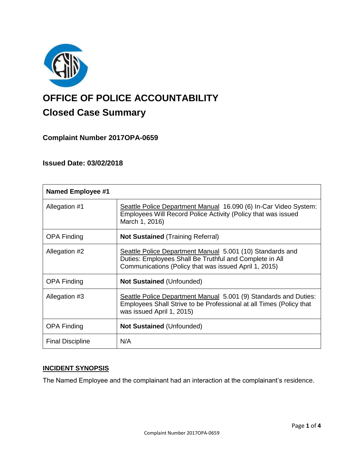

# **OFFICE OF POLICE ACCOUNTABILITY**

# **Closed Case Summary**

# **Complaint Number 2017OPA-0659**

# **Issued Date: 03/02/2018**

| <b>Named Employee #1</b> |                                                                                                                                                                               |
|--------------------------|-------------------------------------------------------------------------------------------------------------------------------------------------------------------------------|
| Allegation #1            | Seattle Police Department Manual 16.090 (6) In-Car Video System:<br>Employees Will Record Police Activity (Policy that was issued<br>March 1, 2016)                           |
| <b>OPA Finding</b>       | <b>Not Sustained (Training Referral)</b>                                                                                                                                      |
| Allegation #2            | Seattle Police Department Manual 5.001 (10) Standards and<br>Duties: Employees Shall Be Truthful and Complete in All<br>Communications (Policy that was issued April 1, 2015) |
| <b>OPA Finding</b>       | <b>Not Sustained (Unfounded)</b>                                                                                                                                              |
| Allegation #3            | Seattle Police Department Manual 5.001 (9) Standards and Duties:<br>Employees Shall Strive to be Professional at all Times (Policy that<br>was issued April 1, 2015)          |
| <b>OPA Finding</b>       | <b>Not Sustained (Unfounded)</b>                                                                                                                                              |
| <b>Final Discipline</b>  | N/A                                                                                                                                                                           |

### **INCIDENT SYNOPSIS**

The Named Employee and the complainant had an interaction at the complainant's residence.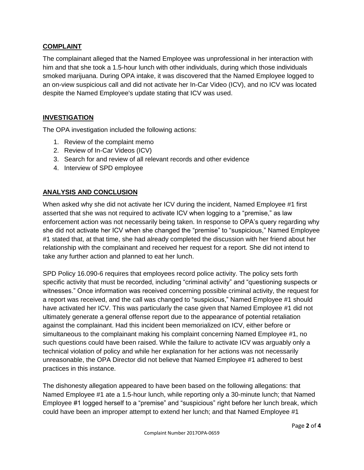#### **COMPLAINT**

The complainant alleged that the Named Employee was unprofessional in her interaction with him and that she took a 1.5-hour lunch with other individuals, during which those individuals smoked marijuana. During OPA intake, it was discovered that the Named Employee logged to an on-view suspicious call and did not activate her In-Car Video (ICV), and no ICV was located despite the Named Employee's update stating that ICV was used.

#### **INVESTIGATION**

The OPA investigation included the following actions:

- 1. Review of the complaint memo
- 2. Review of In-Car Videos (ICV)
- 3. Search for and review of all relevant records and other evidence
- 4. Interview of SPD employee

#### **ANALYSIS AND CONCLUSION**

When asked why she did not activate her ICV during the incident, Named Employee #1 first asserted that she was not required to activate ICV when logging to a "premise," as law enforcement action was not necessarily being taken. In response to OPA's query regarding why she did not activate her ICV when she changed the "premise" to "suspicious," Named Employee #1 stated that, at that time, she had already completed the discussion with her friend about her relationship with the complainant and received her request for a report. She did not intend to take any further action and planned to eat her lunch.

SPD Policy 16.090-6 requires that employees record police activity. The policy sets forth specific activity that must be recorded, including "criminal activity" and "questioning suspects or witnesses." Once information was received concerning possible criminal activity, the request for a report was received, and the call was changed to "suspicious," Named Employee #1 should have activated her ICV. This was particularly the case given that Named Employee #1 did not ultimately generate a general offense report due to the appearance of potential retaliation against the complainant. Had this incident been memorialized on ICV, either before or simultaneous to the complainant making his complaint concerning Named Employee #1, no such questions could have been raised. While the failure to activate ICV was arguably only a technical violation of policy and while her explanation for her actions was not necessarily unreasonable, the OPA Director did not believe that Named Employee #1 adhered to best practices in this instance.

The dishonesty allegation appeared to have been based on the following allegations: that Named Employee #1 ate a 1.5-hour lunch, while reporting only a 30-minute lunch; that Named Employee #1 logged herself to a "premise" and "suspicious" right before her lunch break, which could have been an improper attempt to extend her lunch; and that Named Employee #1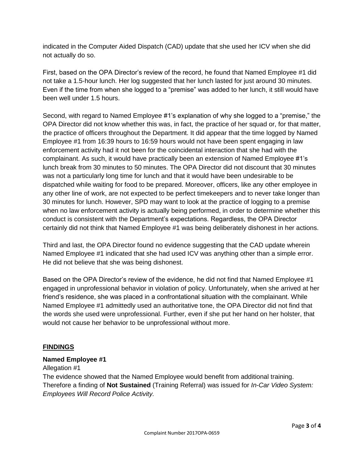indicated in the Computer Aided Dispatch (CAD) update that she used her ICV when she did not actually do so.

First, based on the OPA Director's review of the record, he found that Named Employee #1 did not take a 1.5-hour lunch. Her log suggested that her lunch lasted for just around 30 minutes. Even if the time from when she logged to a "premise" was added to her lunch, it still would have been well under 1.5 hours.

Second, with regard to Named Employee #1's explanation of why she logged to a "premise," the OPA Director did not know whether this was, in fact, the practice of her squad or, for that matter, the practice of officers throughout the Department. It did appear that the time logged by Named Employee #1 from 16:39 hours to 16:59 hours would not have been spent engaging in law enforcement activity had it not been for the coincidental interaction that she had with the complainant. As such, it would have practically been an extension of Named Employee #1's lunch break from 30 minutes to 50 minutes. The OPA Director did not discount that 30 minutes was not a particularly long time for lunch and that it would have been undesirable to be dispatched while waiting for food to be prepared. Moreover, officers, like any other employee in any other line of work, are not expected to be perfect timekeepers and to never take longer than 30 minutes for lunch. However, SPD may want to look at the practice of logging to a premise when no law enforcement activity is actually being performed, in order to determine whether this conduct is consistent with the Department's expectations. Regardless, the OPA Director certainly did not think that Named Employee #1 was being deliberately dishonest in her actions.

Third and last, the OPA Director found no evidence suggesting that the CAD update wherein Named Employee #1 indicated that she had used ICV was anything other than a simple error. He did not believe that she was being dishonest.

Based on the OPA Director's review of the evidence, he did not find that Named Employee #1 engaged in unprofessional behavior in violation of policy. Unfortunately, when she arrived at her friend's residence, she was placed in a confrontational situation with the complainant. While Named Employee #1 admittedly used an authoritative tone, the OPA Director did not find that the words she used were unprofessional. Further, even if she put her hand on her holster, that would not cause her behavior to be unprofessional without more.

#### **FINDINGS**

#### **Named Employee #1**

Allegation #1

The evidence showed that the Named Employee would benefit from additional training. Therefore a finding of **Not Sustained** (Training Referral) was issued for *In-Car Video System: Employees Will Record Police Activity.*